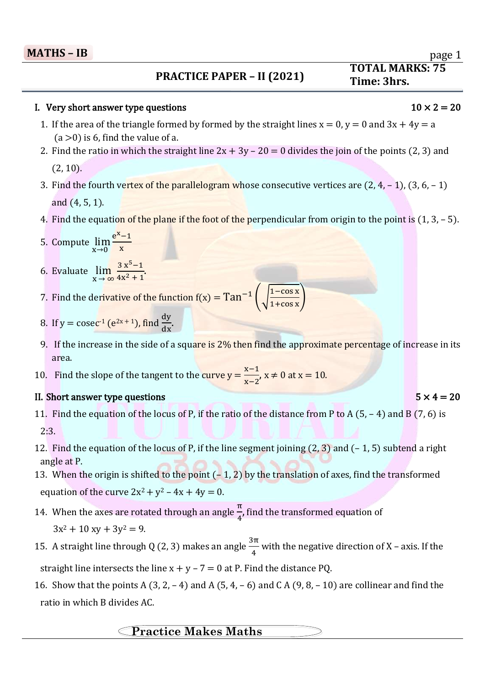### $\overline{a}$ **PRACTICE PAPER – II (2021)**

## I. Very short answer type questions  $10 \times 2 = 20$

- 1. If the area of the triangle formed by formed by the straight lines  $x = 0$ ,  $y = 0$  and  $3x + 4y = a$  $(a > 0)$  is 6, find the value of a.
- 2. Find the ratio in which the straight line  $2x + 3y 20 = 0$  divides the join of the points (2, 3) and (2, 10).
- 3. Find the fourth vertex of the parallelogram whose consecutive vertices are  $(2, 4, -1)$ ,  $(3, 6, -1)$ and (4, 5, 1).
- 4. Find the equation of the plane if the foot of the perpendicular from origin to the point is  $(1, 3, -5)$ .
- 5. Compute  $\lim_{x\to 0}$  $e^{X}-1$ x
- 6. Evaluate  $\lim_{x \to \infty}$  $3x^5-1$  $\frac{3x-1}{4x^2+1}$ .
- 7. Find the derivative of the function  $f(x) = Tan^{-1} \left( \int_{0}^{\frac{\pi}{4}} \frac{1-\cos x}{\cos x} dx \right)$  $\frac{1-\cos x}{1+\cos x}$
- 8. If  $y = \csc^{-1}(e^{2x+1})$ , find  $\frac{dy}{dx}$ .
- 9. If the increase in the side of a square is 2% then find the approximate percentage of increase in its area.
- 10. Find the slope of the tangent to the curve  $y = \frac{x-1}{x-2}$ ,  $x \ne 0$  at  $x = 10$ .

### II. Short answer type questions  $5 \times 4 = 20$

- 11. Find the equation of the locus of P, if the ratio of the distance from P to A (5, 4) and B (7, 6) is  $2:3.$
- 12. Find the equation of the locus of P, if the line segment joining  $(2, 3)$  and  $(-1, 5)$  subtend a right angle at P.
- 13. When the origin is shifted to the point  $(-1, 2)$  by the translation of axes, find the transformed equation of the curve  $2x^2 + y^2 - 4x + 4y = 0$ .
- 14. When the axes are rotated through an angle  $\frac{\pi}{4}$ , find the transformed equation of  $3x^2 + 10xy + 3y^2 = 9$ .
- 15. A straight line through Q (2, 3) makes an angle  $\frac{3\pi}{4}$  with the negative direction of X axis. If the straight line intersects the line  $x + y - 7 = 0$  at P. Find the distance PQ.
- 16. Show that the points A  $(3, 2, -4)$  and A  $(5, 4, -6)$  and C A  $(9, 8, -10)$  are collinear and find the ratio in which B divides AC.

## **Practice Makes Maths**

# **TOTAL MARKS: 75 - IA Time: 3hrs.**

page 1